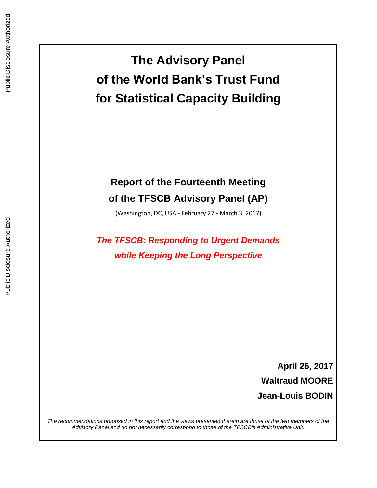**The Advisory Panel of the World Bank's Trust Fund for Statistical Capacity Building**

# **Report of the Fourteenth Meeting of the TFSCB Advisory Panel (AP)**

(Washington, DC, USA - February 27 - March 3, 2017)

*The TFSCB: Responding to Urgent Demands while Keeping the Long Perspective*

> **April 26, 2017 Waltraud MOORE Jean-Louis BODIN**

*The recommendations proposed in this report and the views presented therein are those of the two members of the Advisory Panel and do not necessarily correspond to those of the TFSCB's Administrative Unit.*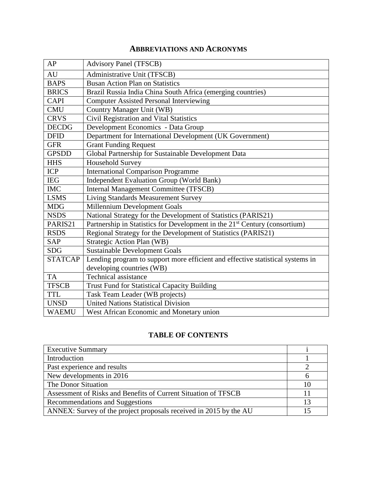# **ABBREVIATIONS AND ACRONYMS**

| AP             | <b>Advisory Panel (TFSCB)</b>                                                          |
|----------------|----------------------------------------------------------------------------------------|
| <b>AU</b>      | Administrative Unit (TFSCB)                                                            |
| <b>BAPS</b>    | <b>Busan Action Plan on Statistics</b>                                                 |
| <b>BRICS</b>   | Brazil Russia India China South Africa (emerging countries)                            |
| <b>CAPI</b>    | <b>Computer Assisted Personal Interviewing</b>                                         |
| <b>CMU</b>     | Country Manager Unit (WB)                                                              |
| <b>CRVS</b>    | Civil Registration and Vital Statistics                                                |
| <b>DECDG</b>   | Development Economics - Data Group                                                     |
| <b>DFID</b>    | Department for International Development (UK Government)                               |
| <b>GFR</b>     | <b>Grant Funding Request</b>                                                           |
| <b>GPSDD</b>   | Global Partnership for Sustainable Development Data                                    |
| <b>HHS</b>     | <b>Household Survey</b>                                                                |
| <b>ICP</b>     | <b>International Comparison Programme</b>                                              |
| <b>IEG</b>     | <b>Independent Evaluation Group (World Bank)</b>                                       |
| <b>IMC</b>     | <b>Internal Management Committee (TFSCB)</b>                                           |
| <b>LSMS</b>    | <b>Living Standards Measurement Survey</b>                                             |
| <b>MDG</b>     | Millennium Development Goals                                                           |
| <b>NSDS</b>    | National Strategy for the Development of Statistics (PARIS21)                          |
| PARIS21        | Partnership in Statistics for Development in the 21 <sup>st</sup> Century (consortium) |
| <b>RSDS</b>    | Regional Strategy for the Development of Statistics (PARIS21)                          |
| SAP            | Strategic Action Plan (WB)                                                             |
| <b>SDG</b>     | <b>Sustainable Development Goals</b>                                                   |
| <b>STATCAP</b> | Lending program to support more efficient and effective statistical systems in         |
|                | developing countries (WB)                                                              |
| <b>TA</b>      | <b>Technical assistance</b>                                                            |
| <b>TFSCB</b>   | <b>Trust Fund for Statistical Capacity Building</b>                                    |
| <b>TTL</b>     | Task Team Leader (WB projects)                                                         |
| <b>UNSD</b>    | <b>United Nations Statistical Division</b>                                             |
| <b>WAEMU</b>   | West African Economic and Monetary union                                               |

# **TABLE OF CONTENTS**

| <b>Executive Summary</b>                                          |    |
|-------------------------------------------------------------------|----|
| Introduction                                                      |    |
| Past experience and results                                       |    |
| New developments in 2016                                          |    |
| The Donor Situation                                               | 10 |
| Assessment of Risks and Benefits of Current Situation of TFSCB    |    |
| Recommendations and Suggestions                                   | 13 |
| ANNEX: Survey of the project proposals received in 2015 by the AU |    |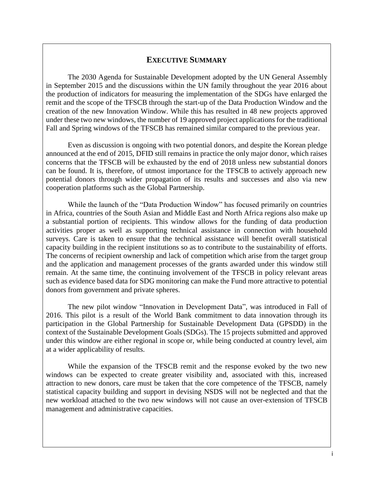## **EXECUTIVE SUMMARY**

The 2030 Agenda for Sustainable Development adopted by the UN General Assembly in September 2015 and the discussions within the UN family throughout the year 2016 about the production of indicators for measuring the implementation of the SDGs have enlarged the remit and the scope of the TFSCB through the start-up of the Data Production Window and the creation of the new Innovation Window. While this has resulted in 48 new projects approved under these two new windows, the number of 19 approved project applications for the traditional Fall and Spring windows of the TFSCB has remained similar compared to the previous year.

Even as discussion is ongoing with two potential donors, and despite the Korean pledge announced at the end of 2015, DFID still remains in practice the only major donor, which raises concerns that the TFSCB will be exhausted by the end of 2018 unless new substantial donors can be found. It is, therefore, of utmost importance for the TFSCB to actively approach new potential donors through wider propagation of its results and successes and also via new cooperation platforms such as the Global Partnership.

While the launch of the "Data Production Window" has focused primarily on countries in Africa, countries of the South Asian and Middle East and North Africa regions also make up a substantial portion of recipients. This window allows for the funding of data production activities proper as well as supporting technical assistance in connection with household surveys. Care is taken to ensure that the technical assistance will benefit overall statistical capacity building in the recipient institutions so as to contribute to the sustainability of efforts. The concerns of recipient ownership and lack of competition which arise from the target group and the application and management processes of the grants awarded under this window still remain. At the same time, the continuing involvement of the TFSCB in policy relevant areas such as evidence based data for SDG monitoring can make the Fund more attractive to potential donors from government and private spheres.

The new pilot window "Innovation in Development Data", was introduced in Fall of 2016. This pilot is a result of the World Bank commitment to data innovation through its participation in the Global Partnership for Sustainable Development Data (GPSDD) in the context of the Sustainable Development Goals (SDGs). The 15 projects submitted and approved under this window are either regional in scope or, while being conducted at country level, aim at a wider applicability of results.

While the expansion of the TFSCB remit and the response evoked by the two new windows can be expected to create greater visibility and, associated with this, increased attraction to new donors, care must be taken that the core competence of the TFSCB, namely statistical capacity building and support in devising NSDS will not be neglected and that the new workload attached to the two new windows will not cause an over-extension of TFSCB management and administrative capacities.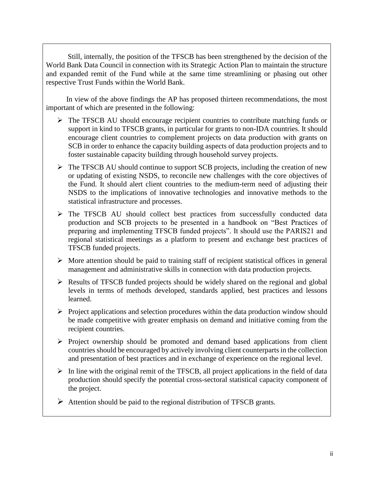Still, internally, the position of the TFSCB has been strengthened by the decision of the World Bank Data Council in connection with its Strategic Action Plan to maintain the structure and expanded remit of the Fund while at the same time streamlining or phasing out other respective Trust Funds within the World Bank.

In view of the above findings the AP has proposed thirteen recommendations, the most important of which are presented in the following:

- The TFSCB AU should encourage recipient countries to contribute matching funds or support in kind to TFSCB grants, in particular for grants to non-IDA countries. It should encourage client countries to complement projects on data production with grants on SCB in order to enhance the capacity building aspects of data production projects and to foster sustainable capacity building through household survey projects.
- $\triangleright$  The TFSCB AU should continue to support SCB projects, including the creation of new or updating of existing NSDS, to reconcile new challenges with the core objectives of the Fund. It should alert client countries to the medium-term need of adjusting their NSDS to the implications of innovative technologies and innovative methods to the statistical infrastructure and processes.
- $\triangleright$  The TFSCB AU should collect best practices from successfully conducted data production and SCB projects to be presented in a handbook on "Best Practices of preparing and implementing TFSCB funded projects". It should use the PARIS21 and regional statistical meetings as a platform to present and exchange best practices of TFSCB funded projects.
- $\triangleright$  More attention should be paid to training staff of recipient statistical offices in general management and administrative skills in connection with data production projects.
- $\triangleright$  Results of TFSCB funded projects should be widely shared on the regional and global levels in terms of methods developed, standards applied, best practices and lessons learned.
- $\triangleright$  Project applications and selection procedures within the data production window should be made competitive with greater emphasis on demand and initiative coming from the recipient countries.
- $\triangleright$  Project ownership should be promoted and demand based applications from client countries should be encouraged by actively involving client counterparts in the collection and presentation of best practices and in exchange of experience on the regional level.
- $\triangleright$  In line with the original remit of the TFSCB, all project applications in the field of data production should specify the potential cross-sectoral statistical capacity component of the project.
- $\triangleright$  Attention should be paid to the regional distribution of TFSCB grants.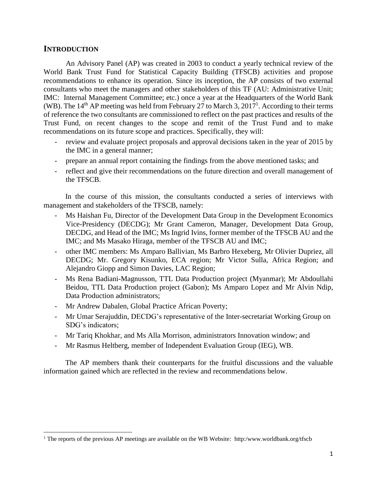## **INTRODUCTION**

 $\overline{a}$ 

An Advisory Panel (AP) was created in 2003 to conduct a yearly technical review of the World Bank Trust Fund for Statistical Capacity Building (TFSCB) activities and propose recommendations to enhance its operation. Since its inception, the AP consists of two external consultants who meet the managers and other stakeholders of this TF (AU: Administrative Unit; IMC: Internal Management Committee; etc.) once a year at the Headquarters of the World Bank (WB). The  $14<sup>th</sup>$  AP meeting was held from February 27 to March 3, 2017<sup>1</sup>. According to their terms of reference the two consultants are commissioned to reflect on the past practices and results of the Trust Fund, on recent changes to the scope and remit of the Trust Fund and to make recommendations on its future scope and practices. Specifically, they will:

- review and evaluate project proposals and approval decisions taken in the year of 2015 by the IMC in a general manner;
- prepare an annual report containing the findings from the above mentioned tasks; and
- reflect and give their recommendations on the future direction and overall management of the TFSCB.

In the course of this mission, the consultants conducted a series of interviews with management and stakeholders of the TFSCB, namely:

- Ms Haishan Fu, Director of the Development Data Group in the Development Economics Vice-Presidency (DECDG); Mr Grant Cameron, Manager, Development Data Group, DECDG, and Head of the IMC; Ms Ingrid Ivins, former member of the TFSCB AU and the IMC; and Ms Masako Hiraga, member of the TFSCB AU and IMC;
- other IMC members: Ms Amparo Ballivian, Ms Barbro Hexeberg, Mr Olivier Dupriez, all DECDG; Mr. Gregory Kisunko, ECA region; Mr Victor Sulla, Africa Region; and Alejandro Giopp and Simon Davies, LAC Region;
- Ms Rena Badiani-Magnusson, TTL Data Production project (Myanmar); Mr Abdoullahi Beidou, TTL Data Production project (Gabon); Ms Amparo Lopez and Mr Alvin Ndip, Data Production administrators;
- Mr Andrew Dabalen, Global Practice African Poverty;
- Mr Umar Serajuddin, DECDG's representative of the Inter-secretariat Working Group on SDG's indicators;
- Mr Tariq Khokhar, and Ms Alla Morrison, administrators Innovation window; and
- Mr Rasmus Heltberg, member of Independent Evaluation Group (IEG), WB.

The AP members thank their counterparts for the fruitful discussions and the valuable information gained which are reflected in the review and recommendations below.

<sup>1</sup> The reports of the previous AP meetings are available on the WB Website: http:/www.worldbank.org/tfscb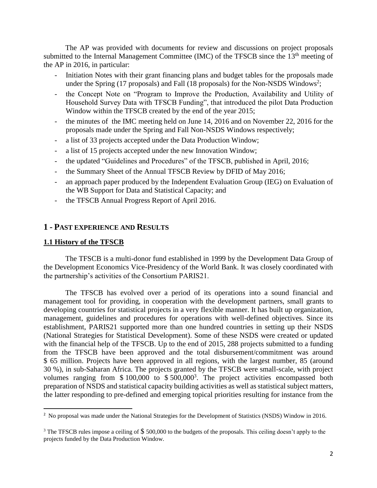The AP was provided with documents for review and discussions on project proposals submitted to the Internal Management Committee (IMC) of the TFSCB since the  $13<sup>th</sup>$  meeting of the AP in 2016, in particular:

- Initiation Notes with their grant financing plans and budget tables for the proposals made under the Spring  $(17 \text{ proposals})$  and Fall  $(18 \text{ proposals})$  for the Non-NSDS Windows<sup>2</sup>;
- the Concept Note on "Program to Improve the Production, Availability and Utility of Household Survey Data with TFSCB Funding", that introduced the pilot Data Production Window within the TFSCB created by the end of the year 2015;
- the minutes of the IMC meeting held on June 14, 2016 and on November 22, 2016 for the proposals made under the Spring and Fall Non-NSDS Windows respectively;
- a list of 33 projects accepted under the Data Production Window;
- a list of 15 projects accepted under the new Innovation Window;
- the updated "Guidelines and Procedures" of the TFSCB, published in April, 2016;
- the Summary Sheet of the Annual TFSCB Review by DFID of May 2016;
- an approach paper produced by the Independent Evaluation Group (IEG) on Evaluation of the WB Support for Data and Statistical Capacity; and
- the TFSCB Annual Progress Report of April 2016.

## **1 - PAST EXPERIENCE AND RESULTS**

#### **1.1 History of the TFSCB**

The TFSCB is a multi-donor fund established in 1999 by the Development Data Group of the Development Economics Vice-Presidency of the World Bank. It was closely coordinated with the partnership's activities of the Consortium PARIS21.

The TFSCB has evolved over a period of its operations into a sound financial and management tool for providing, in cooperation with the development partners, small grants to developing countries for statistical projects in a very flexible manner. It has built up organization, management, guidelines and procedures for operations with well-defined objectives. Since its establishment, PARIS21 supported more than one hundred countries in setting up their NSDS (National Strategies for Statistical Development). Some of these NSDS were created or updated with the financial help of the TFSCB. Up to the end of 2015, 288 projects submitted to a funding from the TFSCB have been approved and the total disbursement/commitment was around \$ 65 million. Projects have been approved in all regions, with the largest number, 85 (around 30 %), in sub-Saharan Africa. The projects granted by the TFSCB were small-scale, with project volumes ranging from  $$100,000$  to  $$500,000<sup>3</sup>$ . The project activities encompassed both preparation of NSDS and statistical capacity building activities as well as statistical subject matters, the latter responding to pre-defined and emerging topical priorities resulting for instance from the

 2 No proposal was made under the National Strategies for the Development of Statistics (NSDS) Window in 2016.

<sup>&</sup>lt;sup>3</sup> The TFSCB rules impose a ceiling of  $$500,000$  to the budgets of the proposals. This ceiling doesn't apply to the projects funded by the Data Production Window.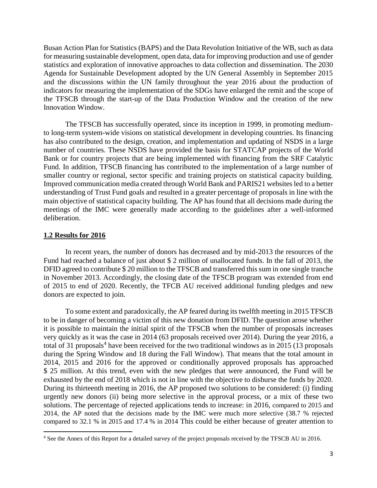Busan Action Plan for Statistics (BAPS) and the Data Revolution Initiative of the WB, such as data for measuring sustainable development, open data, data for improving production and use of gender statistics and exploration of innovative approaches to data collection and dissemination. The 2030 Agenda for Sustainable Development adopted by the UN General Assembly in September 2015 and the discussions within the UN family throughout the year 2016 about the production of indicators for measuring the implementation of the SDGs have enlarged the remit and the scope of the TFSCB through the start-up of the Data Production Window and the creation of the new Innovation Window.

The TFSCB has successfully operated, since its inception in 1999, in promoting mediumto long-term system-wide visions on statistical development in developing countries. Its financing has also contributed to the design, creation, and implementation and updating of NSDS in a large number of countries. These NSDS have provided the basis for STATCAP projects of the World Bank or for country projects that are being implemented with financing from the SRF Catalytic Fund. In addition, TFSCB financing has contributed to the implementation of a large number of smaller country or regional, sector specific and training projects on statistical capacity building. Improved communication media created through World Bank and PARIS21 websites led to a better understanding of Trust Fund goals and resulted in a greater percentage of proposals in line with the main objective of statistical capacity building. The AP has found that all decisions made during the meetings of the IMC were generally made according to the guidelines after a well-informed deliberation.

#### **1.2 Results for 2016**

 $\overline{a}$ 

In recent years, the number of donors has decreased and by mid-2013 the resources of the Fund had reached a balance of just about \$ 2 million of unallocated funds. In the fall of 2013, the DFID agreed to contribute \$20 million to the TFSCB and transferred this sum in one single tranche in November 2013. Accordingly, the closing date of the TFSCB program was extended from end of 2015 to end of 2020. Recently, the TFCB AU received additional funding pledges and new donors are expected to join.

To some extent and paradoxically, the AP feared during its twelfth meeting in 2015 TFSCB to be in danger of becoming a victim of this new donation from DFID. The question arose whether it is possible to maintain the initial spirit of the TFSCB when the number of proposals increases very quickly as it was the case in 2014 (63 proposals received over 2014). During the year 2016, a total of 31 proposals<sup>4</sup> have been received for the two traditional windows as in 2015 (13 proposals during the Spring Window and 18 during the Fall Window). That means that the total amount in 2014, 2015 and 2016 for the approved or conditionally approved proposals has approached \$ 25 million. At this trend, even with the new pledges that were announced, the Fund will be exhausted by the end of 2018 which is not in line with the objective to disburse the funds by 2020. During its thirteenth meeting in 2016, the AP proposed two solutions to be considered: (i) finding urgently new donors (ii) being more selective in the approval process, or a mix of these two solutions. The percentage of rejected applications tends to increase: in 2016, compared to 2015 and 2014, the AP noted that the decisions made by the IMC were much more selective (38.7 % rejected compared to 32.1 % in 2015 and 17.4 % in 2014 This could be either because of greater attention to

<sup>&</sup>lt;sup>4</sup> See the Annex of this Report for a detailed survey of the project proposals received by the TFSCB AU in 2016.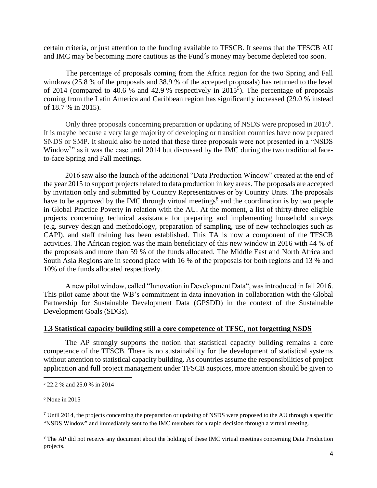certain criteria, or just attention to the funding available to TFSCB. It seems that the TFSCB AU and IMC may be becoming more cautious as the Fund´s money may become depleted too soon.

The percentage of proposals coming from the Africa region for the two Spring and Fall windows (25.8 % of the proposals and 38.9 % of the accepted proposals) has returned to the level of 2014 (compared to 40.6 % and 42.9 % respectively in 2015<sup>5</sup>). The percentage of proposals coming from the Latin America and Caribbean region has significantly increased (29.0 % instead of 18.7 % in 2015).

Only three proposals concerning preparation or updating of NSDS were proposed in 2016<sup>6</sup>. It is maybe because a very large majority of developing or transition countries have now prepared SNDS or SMP. It should also be noted that these three proposals were not presented in a "NSDS Window<sup>7</sup>" as it was the case until 2014 but discussed by the IMC during the two traditional faceto-face Spring and Fall meetings.

2016 saw also the launch of the additional "Data Production Window" created at the end of the year 2015 to support projects related to data production in key areas. The proposals are accepted by invitation only and submitted by Country Representatives or by Country Units. The proposals have to be approved by the IMC through virtual meetings<sup>8</sup> and the coordination is by two people in Global Practice Poverty in relation with the AU. At the moment, a list of thirty-three eligible projects concerning technical assistance for preparing and implementing household surveys (e.g. survey design and methodology, preparation of sampling, use of new technologies such as CAPI), and staff training has been established. This TA is now a component of the TFSCB activities. The African region was the main beneficiary of this new window in 2016 with 44 % of the proposals and more than 59 % of the funds allocated. The Middle East and North Africa and South Asia Regions are in second place with 16 % of the proposals for both regions and 13 % and 10% of the funds allocated respectively.

A new pilot window, called "Innovation in Development Data", was introduced in fall 2016. This pilot came about the WB's commitment in data innovation in collaboration with the Global Partnership for Sustainable Development Data (GPSDD) in the context of the Sustainable Development Goals (SDGs).

#### **1.3 Statistical capacity building still a core competence of TFSC, not forgetting NSDS**

The AP strongly supports the notion that statistical capacity building remains a core competence of the TFSCB. There is no sustainability for the development of statistical systems without attention to statistical capacity building. As countries assume the responsibilities of project application and full project management under TFSCB auspices, more attention should be given to

 $\overline{a}$ 

<sup>8</sup> The AP did not receive any document about the holding of these IMC virtual meetings concerning Data Production projects.

<sup>5</sup> 22.2 % and 25.0 % in 2014

<sup>6</sup> None in 2015

<sup>7</sup> Until 2014, the projects concerning the preparation or updating of NSDS were proposed to the AU through a specific "NSDS Window" and immediately sent to the IMC members for a rapid decision through a virtual meeting.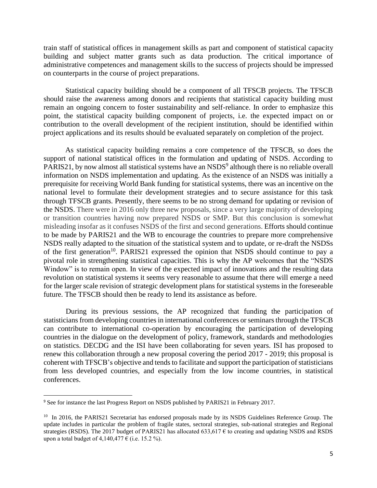train staff of statistical offices in management skills as part and component of statistical capacity building and subject matter grants such as data production. The critical importance of administrative competences and management skills to the success of projects should be impressed on counterparts in the course of project preparations.

Statistical capacity building should be a component of all TFSCB projects. The TFSCB should raise the awareness among donors and recipients that statistical capacity building must remain an ongoing concern to foster sustainability and self-reliance. In order to emphasize this point, the statistical capacity building component of projects, i.e. the expected impact on or contribution to the overall development of the recipient institution, should be identified within project applications and its results should be evaluated separately on completion of the project.

As statistical capacity building remains a core competence of the TFSCB, so does the support of national statistical offices in the formulation and updating of NSDS. According to PARIS21, by now almost all statistical systems have an NSDS<sup>9</sup> although there is no reliable overall information on NSDS implementation and updating. As the existence of an NSDS was initially a prerequisite for receiving World Bank funding for statistical systems, there was an incentive on the national level to formulate their development strategies and to secure assistance for this task through TFSCB grants. Presently, there seems to be no strong demand for updating or revision of the NSDS. There were in 2016 only three new proposals, since a very large majority of developing or transition countries having now prepared NSDS or SMP. But this conclusion is somewhat misleading insofar as it confuses NSDS of the first and second generations. Efforts should continue to be made by PARIS21 and the WB to encourage the countries to prepare more comprehensive NSDS really adapted to the situation of the statistical system and to update, or re-draft the NSDSs of the first generation<sup>10</sup>. PARIS21 expressed the opinion that NSDS should continue to pay a pivotal role in strengthening statistical capacities. This is why the AP welcomes that the "NSDS Window" is to remain open. In view of the expected impact of innovations and the resulting data revolution on statistical systems it seems very reasonable to assume that there will emerge a need for the larger scale revision of strategic development plans for statistical systems in the foreseeable future. The TFSCB should then be ready to lend its assistance as before.

During its previous sessions, the AP recognized that funding the participation of statisticians from developing countries in international conferences or seminars through the TFSCB can contribute to international co-operation by encouraging the participation of developing countries in the dialogue on the development of policy, framework, standards and methodologies on statistics. DECDG and the ISI have been collaborating for seven years. ISI has proposed to renew this collaboration through a new proposal covering the period 2017 - 2019; this proposal is coherent with TFSCB's objective and tends to facilitate and support the participation of statisticians from less developed countries, and especially from the low income countries, in statistical conferences.

<sup>&</sup>lt;sup>9</sup> See for instance the last Progress Report on NSDS published by PARIS21 in February 2017.

<sup>&</sup>lt;sup>10</sup> In 2016, the PARIS21 Secretariat has endorsed proposals made by its NSDS Guidelines Reference Group. The update includes in particular the problem of fragile states, sectoral strategies, sub-national strategies and Regional strategies (RSDS). The 2017 budget of PARIS21 has allocated 633,617  $\epsilon$  to creating and updating NSDS and RSDS upon a total budget of  $4,140,477 \in$  (i.e. 15.2 %).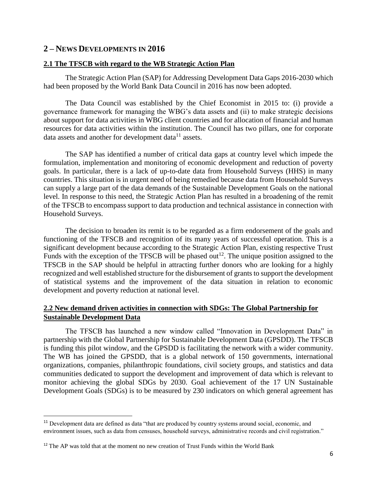## **2 – NEWS DEVELOPMENTS IN 2016**

#### **2.1 The TFSCB with regard to the WB Strategic Action Plan**

The Strategic Action Plan (SAP) for Addressing Development Data Gaps 2016-2030 which had been proposed by the World Bank Data Council in 2016 has now been adopted.

The Data Council was established by the Chief Economist in 2015 to: (i) provide a governance framework for managing the WBG's data assets and (ii) to make strategic decisions about support for data activities in WBG client countries and for allocation of financial and human resources for data activities within the institution. The Council has two pillars, one for corporate data assets and another for development data $^{11}$  assets.

The SAP has identified a number of critical data gaps at country level which impede the formulation, implementation and monitoring of economic development and reduction of poverty goals. In particular, there is a lack of up-to-date data from Household Surveys (HHS) in many countries. This situation is in urgent need of being remedied because data from Household Surveys can supply a large part of the data demands of the Sustainable Development Goals on the national level. In response to this need, the Strategic Action Plan has resulted in a broadening of the remit of the TFSCB to encompass support to data production and technical assistance in connection with Household Surveys.

The decision to broaden its remit is to be regarded as a firm endorsement of the goals and functioning of the TFSCB and recognition of its many years of successful operation. This is a significant development because according to the Strategic Action Plan, existing respective Trust Funds with the exception of the TFSCB will be phased out<sup>12</sup>. The unique position assigned to the TFSCB in the SAP should be helpful in attracting further donors who are looking for a highly recognized and well established structure for the disbursement of grants to support the development of statistical systems and the improvement of the data situation in relation to economic development and poverty reduction at national level.

## **2.2 New demand driven activities in connection with SDGs: The Global Partnership for Sustainable Development Data**

The TFSCB has launched a new window called "Innovation in Development Data" in partnership with the Global Partnership for Sustainable Development Data (GPSDD). The TFSCB is funding this pilot window, and the GPSDD is facilitating the network with a wider community. The WB has joined the GPSDD, that is a global network of 150 governments, international organizations, companies, philanthropic foundations, civil society groups, and statistics and data communities dedicated to support the development and improvement of data which is relevant to monitor achieving the global SDGs by 2030. Goal achievement of the 17 UN Sustainable Development Goals (SDGs) is to be measured by 230 indicators on which general agreement has

<sup>&</sup>lt;sup>11</sup> Development data are defined as data "that are produced by country systems around social, economic, and environment issues, such as data from censuses, household surveys, administrative records and civil registration."

<sup>&</sup>lt;sup>12</sup> The AP was told that at the moment no new creation of Trust Funds within the World Bank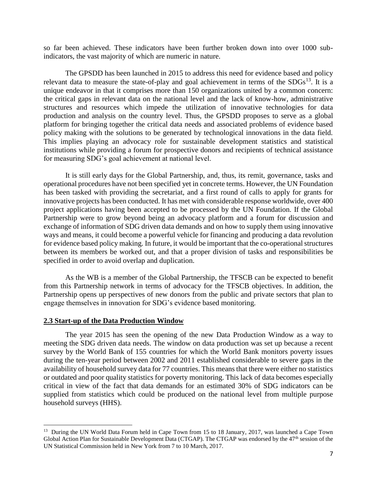so far been achieved. These indicators have been further broken down into over 1000 subindicators, the vast majority of which are numeric in nature.

The GPSDD has been launched in 2015 to address this need for evidence based and policy relevant data to measure the state-of-play and goal achievement in terms of the  $SDGs^{13}$ . It is a unique endeavor in that it comprises more than 150 organizations united by a common concern: the critical gaps in relevant data on the national level and the lack of know-how, administrative structures and resources which impede the utilization of innovative technologies for data production and analysis on the country level. Thus, the GPSDD proposes to serve as a global platform for bringing together the critical data needs and associated problems of evidence based policy making with the solutions to be generated by technological innovations in the data field. This implies playing an advocacy role for sustainable development statistics and statistical institutions while providing a forum for prospective donors and recipients of technical assistance for measuring SDG's goal achievement at national level.

It is still early days for the Global Partnership, and, thus, its remit, governance, tasks and operational procedures have not been specified yet in concrete terms. However, the UN Foundation has been tasked with providing the secretariat, and a first round of calls to apply for grants for innovative projects has been conducted. It has met with considerable response worldwide, over 400 project applications having been accepted to be processed by the UN Foundation. If the Global Partnership were to grow beyond being an advocacy platform and a forum for discussion and exchange of information of SDG driven data demands and on how to supply them using innovative ways and means, it could become a powerful vehicle for financing and producing a data revolution for evidence based policy making. In future, it would be important that the co-operational structures between its members be worked out, and that a proper division of tasks and responsibilities be specified in order to avoid overlap and duplication.

As the WB is a member of the Global Partnership, the TFSCB can be expected to benefit from this Partnership network in terms of advocacy for the TFSCB objectives. In addition, the Partnership opens up perspectives of new donors from the public and private sectors that plan to engage themselves in innovation for SDG's evidence based monitoring.

#### **2.3 Start-up of the Data Production Window**

 $\overline{a}$ 

The year 2015 has seen the opening of the new Data Production Window as a way to meeting the SDG driven data needs. The window on data production was set up because a recent survey by the World Bank of 155 countries for which the World Bank monitors poverty issues during the ten-year period between 2002 and 2011 established considerable to severe gaps in the availability of household survey data for 77 countries. This means that there were either no statistics or outdated and poor quality statistics for poverty monitoring. This lack of data becomes especially critical in view of the fact that data demands for an estimated 30% of SDG indicators can be supplied from statistics which could be produced on the national level from multiple purpose household surveys (HHS).

<sup>&</sup>lt;sup>13</sup> During the UN World Data Forum held in Cape Town from 15 to 18 January, 2017, was launched a Cape Town Global Action Plan for Sustainable Development Data (CTGAP). The CTGAP was endorsed by the 47<sup>th</sup> session of the UN Statistical Commission held in New York from 7 to 10 March, 2017.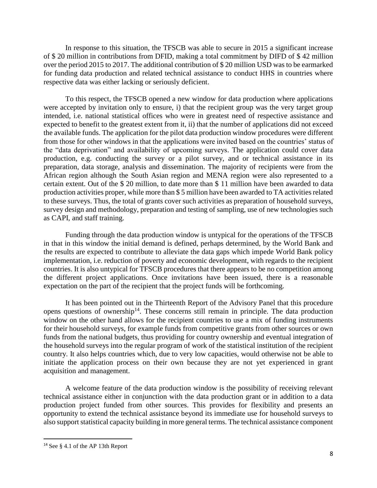In response to this situation, the TFSCB was able to secure in 2015 a significant increase of \$ 20 million in contributions from DFID, making a total commitment by DIFD of \$ 42 million over the period 2015 to 2017. The additional contribution of \$ 20 million USD was to be earmarked for funding data production and related technical assistance to conduct HHS in countries where respective data was either lacking or seriously deficient.

To this respect, the TFSCB opened a new window for data production where applications were accepted by invitation only to ensure, i) that the recipient group was the very target group intended, i.e. national statistical offices who were in greatest need of respective assistance and expected to benefit to the greatest extent from it, ii) that the number of applications did not exceed the available funds. The application for the pilot data production window procedures were different from those for other windows in that the applications were invited based on the countries' status of the "data deprivation" and availability of upcoming surveys. The application could cover data production, e.g. conducting the survey or a pilot survey, and or technical assistance in its preparation, data storage, analysis and dissemination. The majority of recipients were from the African region although the South Asian region and MENA region were also represented to a certain extent. Out of the \$ 20 million, to date more than \$ 11 million have been awarded to data production activities proper, while more than \$ 5 million have been awarded to TA activities related to these surveys. Thus, the total of grants cover such activities as preparation of household surveys, survey design and methodology, preparation and testing of sampling, use of new technologies such as CAPI, and staff training.

Funding through the data production window is untypical for the operations of the TFSCB in that in this window the initial demand is defined, perhaps determined, by the World Bank and the results are expected to contribute to alleviate the data gaps which impede World Bank policy implementation, i.e. reduction of poverty and economic development, with regards to the recipient countries. It is also untypical for TFSCB procedures that there appears to be no competition among the different project applications. Once invitations have been issued, there is a reasonable expectation on the part of the recipient that the project funds will be forthcoming.

It has been pointed out in the Thirteenth Report of the Advisory Panel that this procedure opens questions of ownership<sup>14</sup>. These concerns still remain in principle. The data production window on the other hand allows for the recipient countries to use a mix of funding instruments for their household surveys, for example funds from competitive grants from other sources or own funds from the national budgets, thus providing for country ownership and eventual integration of the household surveys into the regular program of work of the statistical institution of the recipient country. It also helps countries which, due to very low capacities, would otherwise not be able to initiate the application process on their own because they are not yet experienced in grant acquisition and management.

A welcome feature of the data production window is the possibility of receiving relevant technical assistance either in conjunction with the data production grant or in addition to a data production project funded from other sources. This provides for flexibility and presents an opportunity to extend the technical assistance beyond its immediate use for household surveys to also support statistical capacity building in more general terms. The technical assistance component

<sup>14</sup> See § 4.1 of the AP 13th Report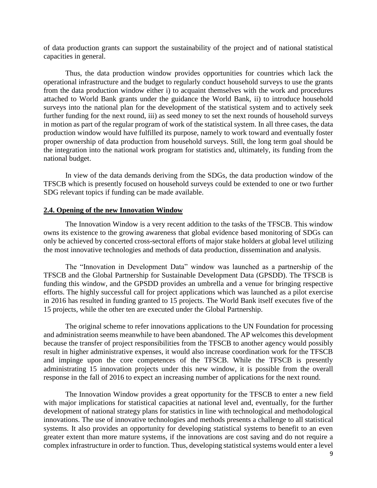of data production grants can support the sustainability of the project and of national statistical capacities in general.

Thus, the data production window provides opportunities for countries which lack the operational infrastructure and the budget to regularly conduct household surveys to use the grants from the data production window either i) to acquaint themselves with the work and procedures attached to World Bank grants under the guidance the World Bank, ii) to introduce household surveys into the national plan for the development of the statistical system and to actively seek further funding for the next round, iii) as seed money to set the next rounds of household surveys in motion as part of the regular program of work of the statistical system. In all three cases, the data production window would have fulfilled its purpose, namely to work toward and eventually foster proper ownership of data production from household surveys. Still, the long term goal should be the integration into the national work program for statistics and, ultimately, its funding from the national budget.

In view of the data demands deriving from the SDGs, the data production window of the TFSCB which is presently focused on household surveys could be extended to one or two further SDG relevant topics if funding can be made available.

#### **2.4. Opening of the new Innovation Window**

The Innovation Window is a very recent addition to the tasks of the TFSCB. This window owns its existence to the growing awareness that global evidence based monitoring of SDGs can only be achieved by concerted cross-sectoral efforts of major stake holders at global level utilizing the most innovative technologies and methods of data production, dissemination and analysis.

The "Innovation in Development Data" window was launched as a partnership of the TFSCB and the Global Partnership for Sustainable Development Data (GPSDD). The TFSCB is funding this window, and the GPSDD provides an umbrella and a venue for bringing respective efforts. The highly successful call for project applications which was launched as a pilot exercise in 2016 has resulted in funding granted to 15 projects. The World Bank itself executes five of the 15 projects, while the other ten are executed under the Global Partnership.

The original scheme to refer innovations applications to the UN Foundation for processing and administration seems meanwhile to have been abandoned. The AP welcomes this development because the transfer of project responsibilities from the TFSCB to another agency would possibly result in higher administrative expenses, it would also increase coordination work for the TFSCB and impinge upon the core competences of the TFSCB. While the TFSCB is presently administrating 15 innovation projects under this new window, it is possible from the overall response in the fall of 2016 to expect an increasing number of applications for the next round.

The Innovation Window provides a great opportunity for the TFSCB to enter a new field with major implications for statistical capacities at national level and, eventually, for the further development of national strategy plans for statistics in line with technological and methodological innovations. The use of innovative technologies and methods presents a challenge to all statistical systems. It also provides an opportunity for developing statistical systems to benefit to an even greater extent than more mature systems, if the innovations are cost saving and do not require a complex infrastructure in order to function. Thus, developing statistical systems would enter a level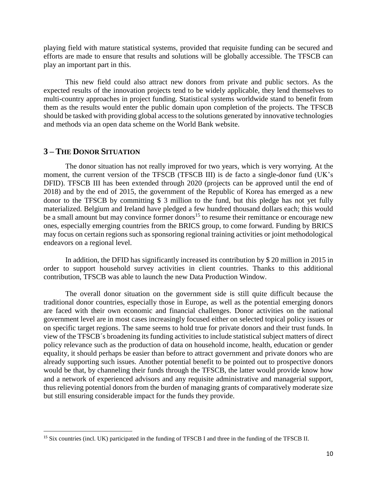playing field with mature statistical systems, provided that requisite funding can be secured and efforts are made to ensure that results and solutions will be globally accessible. The TFSCB can play an important part in this.

This new field could also attract new donors from private and public sectors. As the expected results of the innovation projects tend to be widely applicable, they lend themselves to multi-country approaches in project funding. Statistical systems worldwide stand to benefit from them as the results would enter the public domain upon completion of the projects. The TFSCB should be tasked with providing global access to the solutions generated by innovative technologies and methods via an open data scheme on the World Bank website.

#### **3 – THE DONOR SITUATION**

 $\overline{a}$ 

The donor situation has not really improved for two years, which is very worrying. At the moment, the current version of the TFSCB (TFSCB III) is de facto a single-donor fund (UK's DFID). TFSCB III has been extended through 2020 (projects can be approved until the end of 2018) and by the end of 2015, the government of the Republic of Korea has emerged as a new donor to the TFSCB by committing \$ 3 million to the fund, but this pledge has not yet fully materialized. Belgium and Ireland have pledged a few hundred thousand dollars each; this would be a small amount but may convince former donors<sup>15</sup> to resume their remittance or encourage new ones, especially emerging countries from the BRICS group, to come forward. Funding by BRICS may focus on certain regions such as sponsoring regional training activities or joint methodological endeavors on a regional level.

In addition, the DFID has significantly increased its contribution by \$ 20 million in 2015 in order to support household survey activities in client countries. Thanks to this additional contribution, TFSCB was able to launch the new Data Production Window.

The overall donor situation on the government side is still quite difficult because the traditional donor countries, especially those in Europe, as well as the potential emerging donors are faced with their own economic and financial challenges. Donor activities on the national government level are in most cases increasingly focused either on selected topical policy issues or on specific target regions. The same seems to hold true for private donors and their trust funds. In view of the TFSCB´s broadening its funding activities to include statistical subject matters of direct policy relevance such as the production of data on household income, health, education or gender equality, it should perhaps be easier than before to attract government and private donors who are already supporting such issues. Another potential benefit to be pointed out to prospective donors would be that, by channeling their funds through the TFSCB, the latter would provide know how and a network of experienced advisors and any requisite administrative and managerial support, thus relieving potential donors from the burden of managing grants of comparatively moderate size but still ensuring considerable impact for the funds they provide.

<sup>15</sup> Six countries (incl. UK) participated in the funding of TFSCB I and three in the funding of the TFSCB II.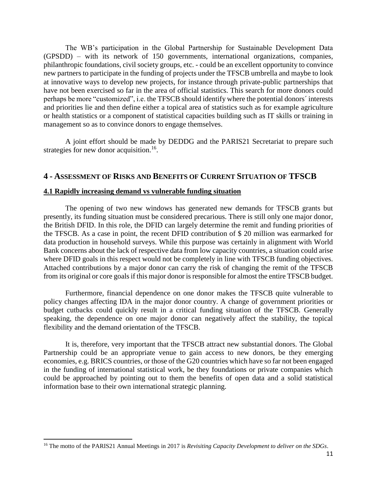The WB's participation in the Global Partnership for Sustainable Development Data (GPSDD) – with its network of 150 governments, international organizations, companies, philanthropic foundations, civil society groups, etc. - could be an excellent opportunity to convince new partners to participate in the funding of projects under the TFSCB umbrella and maybe to look at innovative ways to develop new projects, for instance through private-public partnerships that have not been exercised so far in the area of official statistics. This search for more donors could perhaps be more "customized", i.e. the TFSCB should identify where the potential donors´ interests and priorities lie and then define either a topical area of statistics such as for example agriculture or health statistics or a component of statistical capacities building such as IT skills or training in management so as to convince donors to engage themselves.

A joint effort should be made by DEDDG and the PARIS21 Secretariat to prepare such strategies for new donor acquisition.<sup>16</sup>.

## **4 - ASSESSMENT OF RISKS AND BENEFITS OF CURRENT SITUATION OF TFSCB**

#### **4.1 Rapidly increasing demand vs vulnerable funding situation**

The opening of two new windows has generated new demands for TFSCB grants but presently, its funding situation must be considered precarious. There is still only one major donor, the British DFID. In this role, the DFID can largely determine the remit and funding priorities of the TFSCB. As a case in point, the recent DFID contribution of \$ 20 million was earmarked for data production in household surveys. While this purpose was certainly in alignment with World Bank concerns about the lack of respective data from low capacity countries, a situation could arise where DFID goals in this respect would not be completely in line with TFSCB funding objectives. Attached contributions by a major donor can carry the risk of changing the remit of the TFSCB from its original or core goals if this major donor is responsible for almost the entire TFSCB budget.

Furthermore, financial dependence on one donor makes the TFSCB quite vulnerable to policy changes affecting IDA in the major donor country. A change of government priorities or budget cutbacks could quickly result in a critical funding situation of the TFSCB. Generally speaking, the dependence on one major donor can negatively affect the stability, the topical flexibility and the demand orientation of the TFSCB.

It is, therefore, very important that the TFSCB attract new substantial donors. The Global Partnership could be an appropriate venue to gain access to new donors, be they emerging economies, e.g. BRICS countries, or those of the G20 countries which have so far not been engaged in the funding of international statistical work, be they foundations or private companies which could be approached by pointing out to them the benefits of open data and a solid statistical information base to their own international strategic planning.

<sup>16</sup> The motto of the PARIS21 Annual Meetings in 2017 is *Revisiting Capacity Development to deliver on the SDGs*.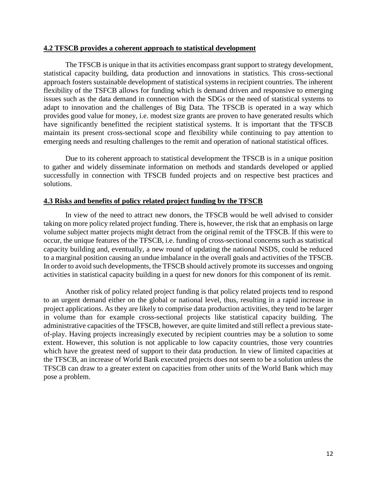#### **4.2 TFSCB provides a coherent approach to statistical development**

The TFSCB is unique in that its activities encompass grant support to strategy development, statistical capacity building, data production and innovations in statistics. This cross-sectional approach fosters sustainable development of statistical systems in recipient countries. The inherent flexibility of the TSFCB allows for funding which is demand driven and responsive to emerging issues such as the data demand in connection with the SDGs or the need of statistical systems to adapt to innovation and the challenges of Big Data. The TFSCB is operated in a way which provides good value for money, i.e. modest size grants are proven to have generated results which have significantly benefitted the recipient statistical systems. It is important that the TFSCB maintain its present cross-sectional scope and flexibility while continuing to pay attention to emerging needs and resulting challenges to the remit and operation of national statistical offices.

Due to its coherent approach to statistical development the TFSCB is in a unique position to gather and widely disseminate information on methods and standards developed or applied successfully in connection with TFSCB funded projects and on respective best practices and solutions.

#### **4.3 Risks and benefits of policy related project funding by the TFSCB**

In view of the need to attract new donors, the TFSCB would be well advised to consider taking on more policy related project funding. There is, however, the risk that an emphasis on large volume subject matter projects might detract from the original remit of the TFSCB. If this were to occur, the unique features of the TFSCB, i.e. funding of cross-sectional concerns such as statistical capacity building and, eventually, a new round of updating the national NSDS, could be reduced to a marginal position causing an undue imbalance in the overall goals and activities of the TFSCB. In order to avoid such developments, the TFSCB should actively promote its successes and ongoing activities in statistical capacity building in a quest for new donors for this component of its remit.

Another risk of policy related project funding is that policy related projects tend to respond to an urgent demand either on the global or national level, thus, resulting in a rapid increase in project applications. As they are likely to comprise data production activities, they tend to be larger in volume than for example cross-sectional projects like statistical capacity building. The administrative capacities of the TFSCB, however, are quite limited and still reflect a previous stateof-play. Having projects increasingly executed by recipient countries may be a solution to some extent. However, this solution is not applicable to low capacity countries, those very countries which have the greatest need of support to their data production. In view of limited capacities at the TFSCB, an increase of World Bank executed projects does not seem to be a solution unless the TFSCB can draw to a greater extent on capacities from other units of the World Bank which may pose a problem.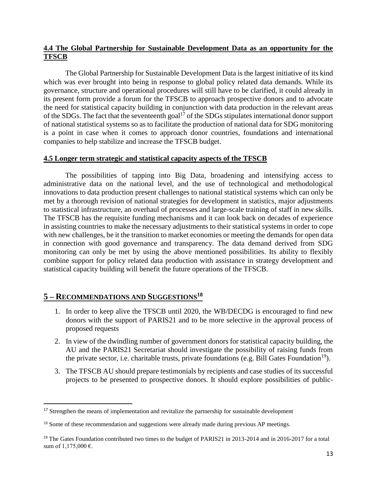## **4.4 The Global Partnership for Sustainable Development Data as an opportunity for the TFSCB**

The Global Partnership for Sustainable Development Data is the largest initiative of its kind which was ever brought into being in response to global policy related data demands. While its governance, structure and operational procedures will still have to be clarified, it could already in its present form provide a forum for the TFSCB to approach prospective donors and to advocate the need for statistical capacity building in conjunction with data production in the relevant areas of the SDGs. The fact that the seventeenth goal<sup>17</sup> of the SDGs stipulates international donor support of national statistical systems so as to facilitate the production of national data for SDG monitoring is a point in case when it comes to approach donor countries, foundations and international companies to help stabilize and increase the TFSCB budget.

#### **4.5 Longer term strategic and statistical capacity aspects of the TFSCB**

The possibilities of tapping into Big Data, broadening and intensifying access to administrative data on the national level, and the use of technological and methodological innovations to data production present challenges to national statistical systems which can only be met by a thorough revision of national strategies for development in statistics, major adjustments to statistical infrastructure, an overhaul of processes and large-scale training of staff in new skills. The TFSCB has the requisite funding mechanisms and it can look back on decades of experience in assisting countries to make the necessary adjustments to their statistical systems in order to cope with new challenges, be it the transition to market economies or meeting the demands for open data in connection with good governance and transparency. The data demand derived from SDG monitoring can only be met by using the above mentioned possibilities. Its ability to flexibly combine support for policy related data production with assistance in strategy development and statistical capacity building will benefit the future operations of the TFSCB.

# **5 – RECOMMENDATIONS AND SUGGESTIONS<sup>18</sup>**

- 1. In order to keep alive the TFSCB until 2020, the WB/DECDG is encouraged to find new donors with the support of PARIS21 and to be more selective in the approval process of proposed requests
- 2. In view of the dwindling number of government donors for statistical capacity building, the AU and the PARIS21 Secretariat should investigate the possibility of raising funds from the private sector, i.e. charitable trusts, private foundations (e.g. Bill Gates Foundation<sup>19</sup>).
- 3. The TFSCB AU should prepare testimonials by recipients and case studies of its successful projects to be presented to prospective donors. It should explore possibilities of public-

<sup>&</sup>lt;sup>17</sup> Strengthen the means of implementation and revitalize the partnership for sustainable development

<sup>&</sup>lt;sup>18</sup> Some of these recommendation and suggestions were already made during previous AP meetings.

<sup>&</sup>lt;sup>19</sup> The Gates Foundation contributed two times to the budget of PARIS21 in 2013-2014 and in 2016-2017 for a total sum of 1,175,000 €.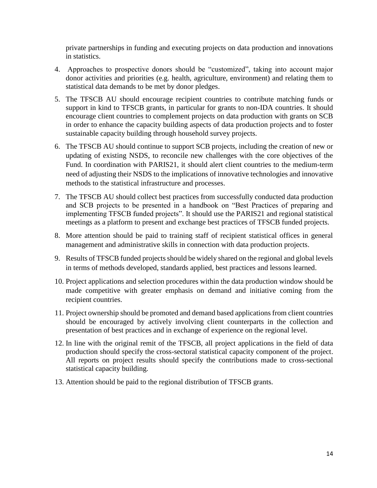private partnerships in funding and executing projects on data production and innovations in statistics.

- 4. Approaches to prospective donors should be "customized", taking into account major donor activities and priorities (e.g. health, agriculture, environment) and relating them to statistical data demands to be met by donor pledges.
- 5. The TFSCB AU should encourage recipient countries to contribute matching funds or support in kind to TFSCB grants, in particular for grants to non-IDA countries. It should encourage client countries to complement projects on data production with grants on SCB in order to enhance the capacity building aspects of data production projects and to foster sustainable capacity building through household survey projects.
- 6. The TFSCB AU should continue to support SCB projects, including the creation of new or updating of existing NSDS, to reconcile new challenges with the core objectives of the Fund. In coordination with PARIS21, it should alert client countries to the medium-term need of adjusting their NSDS to the implications of innovative technologies and innovative methods to the statistical infrastructure and processes.
- 7. The TFSCB AU should collect best practices from successfully conducted data production and SCB projects to be presented in a handbook on "Best Practices of preparing and implementing TFSCB funded projects". It should use the PARIS21 and regional statistical meetings as a platform to present and exchange best practices of TFSCB funded projects.
- 8. More attention should be paid to training staff of recipient statistical offices in general management and administrative skills in connection with data production projects.
- 9. Results of TFSCB funded projects should be widely shared on the regional and global levels in terms of methods developed, standards applied, best practices and lessons learned.
- 10. Project applications and selection procedures within the data production window should be made competitive with greater emphasis on demand and initiative coming from the recipient countries.
- 11. Project ownership should be promoted and demand based applications from client countries should be encouraged by actively involving client counterparts in the collection and presentation of best practices and in exchange of experience on the regional level.
- 12. In line with the original remit of the TFSCB, all project applications in the field of data production should specify the cross-sectoral statistical capacity component of the project. All reports on project results should specify the contributions made to cross-sectional statistical capacity building.
- 13. Attention should be paid to the regional distribution of TFSCB grants.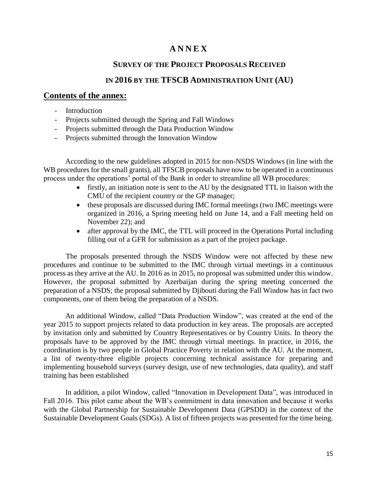# **A N N E X**

## **SURVEY OF THE PROJECT PROPOSALS RECEIVED**

## **IN 2016 BY THE TFSCB ADMINISTRATION UNIT (AU)**

## **Contents of the annex:**

- **Introduction**
- Projects submitted through the Spring and Fall Windows
- Projects submitted through the Data Production Window
- Projects submitted through the Innovation Window

According to the new guidelines adopted in 2015 for non-NSDS Windows (in line with the WB procedures for the small grants), all TFSCB proposals have now to be operated in a continuous process under the operations' portal of the Bank in order to streamline all WB procedures:

- firstly, an initiation note is sent to the AU by the designated TTL in liaison with the CMU of the recipient country or the GP manager;
- these proposals are discussed during IMC formal meetings (two IMC meetings were organized in 2016, a Spring meeting held on June 14, and a Fall meeting held on November 22); and
- after approval by the IMC, the TTL will proceed in the Operations Portal including filling out of a GFR for submission as a part of the project package.

The proposals presented through the NSDS Window were not affected by these new procedures and continue to be submitted to the IMC through virtual meetings in a continuous process as they arrive at the AU. In 2016 as in 2015, no proposal was submitted under this window. However, the proposal submitted by Azerbaijan during the spring meeting concerned the preparation of a NSDS; the proposal submitted by Djibouti during the Fall Window has in fact two components, one of them being the preparation of a NSDS.

An additional Window, called "Data Production Window", was created at the end of the year 2015 to support projects related to data production in key areas. The proposals are accepted by invitation only and submitted by Country Representatives or by Country Units. In theory the proposals have to be approved by the IMC through virtual meetings. In practice, in 2016, the coordination is by two people in Global Practice Poverty in relation with the AU. At the moment, a list of twenty-three eligible projects concerning technical assistance for preparing and implementing household surveys (survey design, use of new technologies, data quality), and staff training has been established

In addition, a pilot Window, called "Innovation in Development Data", was introduced in Fall 2016. This pilot came about the WB's commitment in data innovation and because it works with the Global Partnership for Sustainable Development Data (GPSDD) in the context of the Sustainable Development Goals (SDGs). A list of fifteen projects was presented for the time being.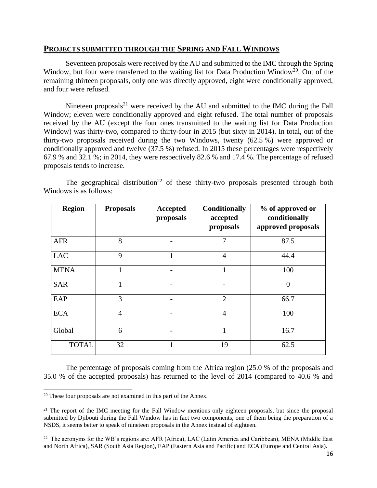## **PROJECTS SUBMITTED THROUGH THE SPRING AND FALL WINDOWS**

Seventeen proposals were received by the AU and submitted to the IMC through the Spring Window, but four were transferred to the waiting list for Data Production Window<sup>20</sup>. Out of the remaining thirteen proposals, only one was directly approved, eight were conditionally approved, and four were refused.

Nineteen proposals<sup>21</sup> were received by the AU and submitted to the IMC during the Fall Window; eleven were conditionally approved and eight refused. The total number of proposals received by the AU (except the four ones transmitted to the waiting list for Data Production Window) was thirty-two, compared to thirty-four in 2015 (but sixty in 2014). In total, out of the thirty-two proposals received during the two Windows, twenty (62.5 %) were approved or conditionally approved and twelve (37.5 %) refused. In 2015 these percentages were respectively 67.9 % and 32.1 %; in 2014, they were respectively 82.6 % and 17.4 %. The percentage of refused proposals tends to increase.

The geographical distribution<sup>22</sup> of these thirty-two proposals presented through both Windows is as follows:

| <b>Region</b> | <b>Proposals</b> | Accepted<br>proposals | <b>Conditionally</b><br>accepted<br>proposals | % of approved or<br>conditionally<br>approved proposals |
|---------------|------------------|-----------------------|-----------------------------------------------|---------------------------------------------------------|
| <b>AFR</b>    | 8                |                       | 7                                             | 87.5                                                    |
| <b>LAC</b>    | 9                |                       | $\overline{4}$                                | 44.4                                                    |
| <b>MENA</b>   | 1                |                       |                                               | 100                                                     |
| <b>SAR</b>    | $\mathbf{1}$     |                       |                                               | $\overline{0}$                                          |
| EAP           | 3                |                       | $\overline{2}$                                | 66.7                                                    |
| <b>ECA</b>    | $\overline{4}$   |                       | $\overline{4}$                                | 100                                                     |
| Global        | 6                |                       | 1                                             | 16.7                                                    |
| <b>TOTAL</b>  | 32               | 1                     | 19                                            | 62.5                                                    |

The percentage of proposals coming from the Africa region (25.0 % of the proposals and 35.0 % of the accepted proposals) has returned to the level of 2014 (compared to 40.6 % and

 $20$  These four proposals are not examined in this part of the Annex.

<sup>&</sup>lt;sup>21</sup> The report of the IMC meeting for the Fall Window mentions only eighteen proposals, but since the proposal submitted by Djibouti during the Fall Window has in fact two components, one of them being the preparation of a NSDS, it seems better to speak of nineteen proposals in the Annex instead of eighteen.

<sup>&</sup>lt;sup>22</sup> The acronyms for the WB's regions are: AFR (Africa), LAC (Latin America and Caribbean), MENA (Middle East and North Africa), SAR (South Asia Region), EAP (Eastern Asia and Pacific) and ECA (Europe and Central Asia).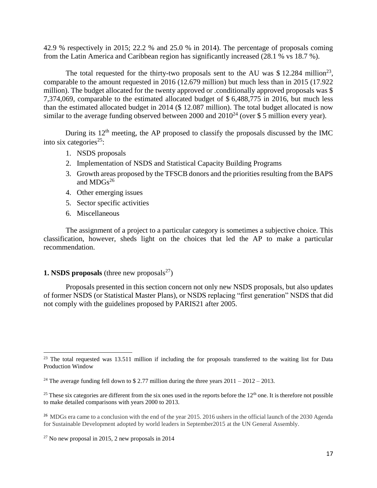42.9 % respectively in 2015; 22.2 % and 25.0 % in 2014). The percentage of proposals coming from the Latin America and Caribbean region has significantly increased (28.1 % vs 18.7 %).

The total requested for the thirty-two proposals sent to the AU was \$12.284 million<sup>23</sup>, comparable to the amount requested in 2016 (12.679 million) but much less than in 2015 (17.922 million). The budget allocated for the twenty approved or .conditionally approved proposals was \$ 7,374,069, comparable to the estimated allocated budget of \$ 6,488,775 in 2016, but much less than the estimated allocated budget in 2014 (\$ 12.087 million). The total budget allocated is now similar to the average funding observed between 2000 and  $2010^{24}$  (over \$ 5 million every year).

During its  $12<sup>th</sup>$  meeting, the AP proposed to classify the proposals discussed by the IMC into six categories<sup>25</sup>:

- 1. NSDS proposals
- 2. Implementation of NSDS and Statistical Capacity Building Programs
- 3. Growth areas proposed by the TFSCB donors and the priorities resulting from the BAPS and  $MDGs^{26}$
- 4. Other emerging issues
- 5. Sector specific activities
- 6. Miscellaneous

The assignment of a project to a particular category is sometimes a subjective choice. This classification, however, sheds light on the choices that led the AP to make a particular recommendation.

## **1. NSDS proposals** (three new proposals<sup>27</sup>)

Proposals presented in this section concern not only new NSDS proposals, but also updates of former NSDS (or Statistical Master Plans), or NSDS replacing "first generation" NSDS that did not comply with the guidelines proposed by PARIS21 after 2005.

 $\overline{a}$ <sup>23</sup> The total requested was 13.511 million if including the for proposals transferred to the waiting list for Data Production Window

<sup>&</sup>lt;sup>24</sup> The average funding fell down to \$2.77 million during the three years  $2011 - 2012 - 2013$ .

<sup>&</sup>lt;sup>25</sup> These six categories are different from the six ones used in the reports before the  $12<sup>th</sup>$  one. It is therefore not possible to make detailed comparisons with years 2000 to 2013.

<sup>&</sup>lt;sup>26</sup> MDGs era came to a conclusion with the end of the year 2015. 2016 ushers in the official launch of the 2030 Agenda for Sustainable Development adopted by world leaders in September2015 at the UN General Assembly.

 $27$  No new proposal in 2015, 2 new proposals in 2014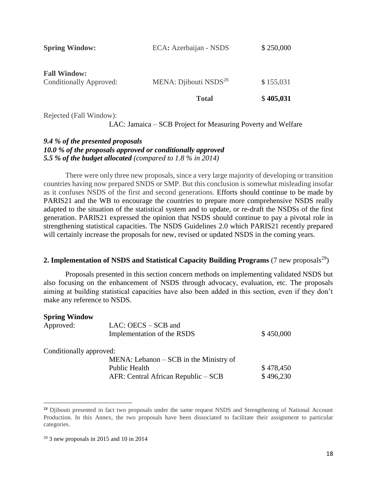|                                                | <b>Total</b>                      | \$405,031 |
|------------------------------------------------|-----------------------------------|-----------|
| <b>Fall Window:</b><br>Conditionally Approved: | MENA: Djibouti NSDS <sup>28</sup> | \$155,031 |
| <b>Spring Window:</b>                          | ECA: Azerbaijan - NSDS            | \$250,000 |

Rejected (Fall Window):

LAC: Jamaica – SCB Project for Measuring Poverty and Welfare

## *9.4 % of the presented proposals 10.0 % of the proposals approved or conditionally approved 5.5 % of the budget allocated (compared to 1.8 % in 2014)*

There were only three new proposals, since a very large majority of developing or transition countries having now prepared SNDS or SMP. But this conclusion is somewhat misleading insofar as it confuses NSDS of the first and second generations. Efforts should continue to be made by PARIS21 and the WB to encourage the countries to prepare more comprehensive NSDS really adapted to the situation of the statistical system and to update, or re-draft the NSDSs of the first generation. PARIS21 expressed the opinion that NSDS should continue to pay a pivotal role in strengthening statistical capacities. The NSDS Guidelines 2.0 which PARIS21 recently prepared will certainly increase the proposals for new, revised or updated NSDS in the coming years.

## **2. Implementation of NSDS and Statistical Capacity Building Programs** (7 new proposals<sup>29</sup>)

Proposals presented in this section concern methods on implementing validated NSDS but also focusing on the enhancement of NSDS through advocacy, evaluation, etc. The proposals aiming at building statistical capacities have also been added in this section, even if they don't make any reference to NSDS.

| <b>Spring Window</b>    |                                           |           |
|-------------------------|-------------------------------------------|-----------|
| Approved:               | $LAC: OECS - SCB$ and                     |           |
|                         | Implementation of the RSDS                | \$450,000 |
| Conditionally approved: |                                           |           |
|                         | $MENA$ : Lebanon – SCB in the Ministry of |           |
|                         | <b>Public Health</b>                      | \$478,450 |
|                         | AFR: Central African Republic – SCB       | \$496,230 |

<sup>&</sup>lt;sup>28</sup> Djibouti presented in fact two proposals under the same request NSDS and Strengthening of National Account Production. In this Annex, the two proposals have been dissociated to facilitate their assignment to particular categories.

 $29$  3 new proposals in 2015 and 10 in 2014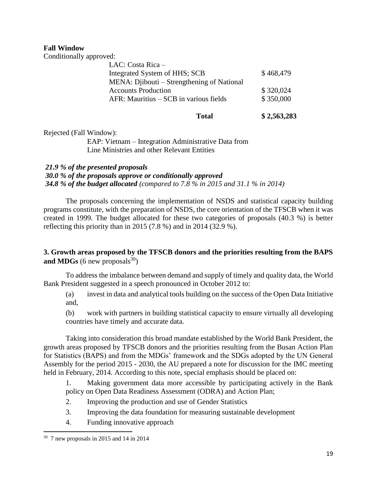## **Fall Window**

Conditionally approved:

| LAC: Costa Rica $-$                         |           |
|---------------------------------------------|-----------|
| Integrated System of HHS; SCB               | \$468,479 |
| MENA: Djibouti – Strengthening of National  |           |
| <b>Accounts Production</b>                  | \$320,024 |
| $AFR$ : Mauritius $-$ SCB in various fields | \$350,000 |
|                                             |           |

| Total | \$2,563,283 |
|-------|-------------|
|       |             |

Rejected (Fall Window):

EAP: Vietnam – Integration Administrative Data from Line Ministries and other Relevant Entities

## *21.9 % of the presented proposals*

*30.0 % of the proposals approve or conditionally approved 34.8 % of the budget allocated (compared to 7.8 % in 2015 and 31.1 % in 2014)*

The proposals concerning the implementation of NSDS and statistical capacity building programs constitute, with the preparation of NSDS, the core orientation of the TFSCB when it was created in 1999. The budget allocated for these two categories of proposals (40.3 %) is better reflecting this priority than in 2015 (7.8 %) and in 2014 (32.9 %).

## **3. Growth areas proposed by the TFSCB donors and the priorities resulting from the BAPS and MDGs** (6 new proposals<sup>30</sup>)

To address the imbalance between demand and supply of timely and quality data, the World Bank President suggested in a speech pronounced in October 2012 to:

(a) invest in data and analytical tools building on the success of the Open Data Initiative and,

(b) work with partners in building statistical capacity to ensure virtually all developing countries have timely and accurate data.

Taking into consideration this broad mandate established by the World Bank President, the growth areas proposed by TFSCB donors and the priorities resulting from the Busan Action Plan for Statistics (BAPS) and from the MDGs' framework and the SDGs adopted by the UN General Assembly for the period 2015 - 2030, the AU prepared a note for discussion for the IMC meeting held in February, 2014. According to this note, special emphasis should be placed on:

1. Making government data more accessible by participating actively in the Bank policy on Open Data Readiness Assessment (ODRA) and Action Plan;

- 2. Improving the production and use of Gender Statistics
- 3. Improving the data foundation for measuring sustainable development
- 4. Funding innovative approach

<sup>30</sup> 7 new proposals in 2015 and 14 in 2014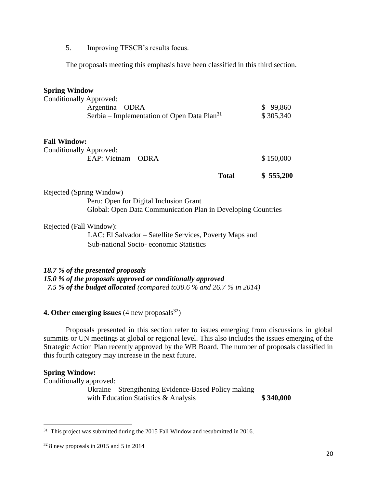5. Improving TFSCB's results focus.

The proposals meeting this emphasis have been classified in this third section.

## **Spring Window**

|                     |                                                                                                                 | <b>Total</b> | \$555,200             |
|---------------------|-----------------------------------------------------------------------------------------------------------------|--------------|-----------------------|
| <b>Fall Window:</b> | Conditionally Approved:<br>EAP: Vietnam - ODRA                                                                  |              | \$150,000             |
|                     | <b>Conditionally Approved:</b><br>$Argentina - ODRA$<br>Serbia – Implementation of Open Data Plan <sup>31</sup> |              | \$99,860<br>\$305,340 |

Rejected (Spring Window) Peru: Open for Digital Inclusion Grant Global: Open Data Communication Plan in Developing Countries

Rejected (Fall Window):

LAC: El Salvador – Satellite Services, Poverty Maps and Sub-national Socio- economic Statistics

## *18.7 % of the presented proposals*

*15.0 % of the proposals approved or conditionally approved 7.5 % of the budget allocated (compared to30.6 % and 26.7 % in 2014)*

## **4. Other emerging issues**  $(4 \text{ new proposals}^{32})$

Proposals presented in this section refer to issues emerging from discussions in global summits or UN meetings at global or regional level. This also includes the issues emerging of the Strategic Action Plan recently approved by the WB Board. The number of proposals classified in this fourth category may increase in the next future.

#### **Spring Window:**

Conditionally approved:

Ukraine – Strengthening Evidence-Based Policy making with Education Statistics & Analysis **\$340,000** 

<sup>&</sup>lt;sup>31</sup> This project was submitted during the 2015 Fall Window and resubmitted in 2016.

 $32$  8 new proposals in 2015 and 5 in 2014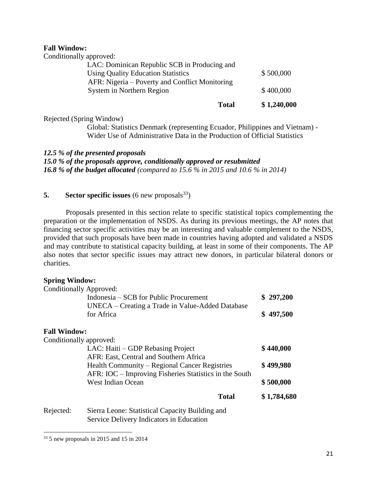#### **Fall Window:**

Conditionally approved:

| <b>Total</b>                                   | \$1,240,000 |
|------------------------------------------------|-------------|
| System in Northern Region                      | \$400,000   |
| AFR: Nigeria – Poverty and Conflict Monitoring |             |
| <b>Using Quality Education Statistics</b>      | \$500,000   |
| LAC: Dominican Republic SCB in Producing and   |             |
|                                                |             |

Rejected (Spring Window)

Global: Statistics Denmark (representing Ecuador, Philippines and Vietnam) - Wider Use of Administrative Data in the Production of Official Statistics

#### *12.5 % of the presented proposals*

*15.0 % of the proposals approve, conditionally approved or resubmitted 16.8 % of the budget allocated (compared to 15.6 % in 2015 and 10.6 % in 2014)*

## **5. Sector specific issues** (6 new proposals  $33$ )

Proposals presented in this section relate to specific statistical topics complementing the preparation or the implementation of NSDS. As during its previous meetings, the AP notes that financing sector specific activities may be an interesting and valuable complement to the NSDS, provided that such proposals have been made in countries having adopted and validated a NSDS and may contribute to statistical capacity building, at least in some of their components. The AP also notes that sector specific issues may attract new donors, in particular bilateral donors or charities.

#### **Spring Window:**

| Conditionally Approved: |                                                        |             |
|-------------------------|--------------------------------------------------------|-------------|
|                         | Indonesia – SCB for Public Procurement                 | \$297,200   |
|                         | UNECA – Creating a Trade in Value-Added Database       |             |
|                         | for Africa                                             | \$497,500   |
| <b>Fall Window:</b>     |                                                        |             |
| Conditionally approved: |                                                        |             |
|                         | LAC: Haiti – GDP Rebasing Project                      | \$440,000   |
|                         | AFR: East, Central and Southern Africa                 |             |
|                         | Health Community – Regional Cancer Registries          | \$499,980   |
|                         | AFR: IOC – Improving Fisheries Statistics in the South |             |
|                         | <b>West Indian Ocean</b>                               | \$500,000   |
|                         | <b>Total</b>                                           | \$1,784,680 |
| Rejected:               | Sierra Leone: Statistical Capacity Building and        |             |
|                         | Service Delivery Indicators in Education               |             |

 $\overline{a}$ <sup>33</sup> 5 new proposals in 2015 and 15 in 2014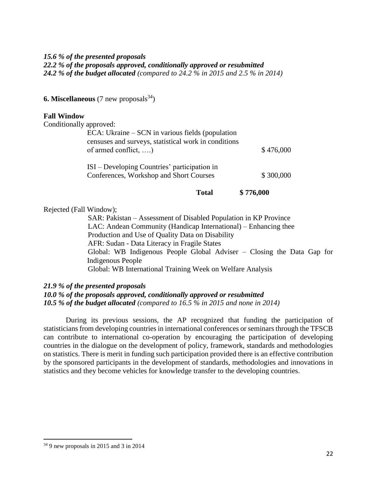#### *15.6 % of the presented proposals*

*22.2 % of the proposals approved, conditionally approved or resubmitted*

*24.2 % of the budget allocated (compared to 24.2 % in 2015 and 2.5 % in 2014)*

**6. Miscellaneous** (7 new proposals  $34$ )

#### **Fall Window**

| Conditionally approved: |                                                                                                                                             |           |
|-------------------------|---------------------------------------------------------------------------------------------------------------------------------------------|-----------|
|                         | $ECA$ : Ukraine – SCN in various fields (population<br>censuses and surveys, statistical work in conditions<br>of armed conflict, $\dots$ ) | \$476,000 |
|                         | ISI – Developing Countries' participation in<br>Conferences, Workshop and Short Courses                                                     | \$300,000 |

**Total \$ 776,000**

Rejected (Fall Window);

SAR: Pakistan – Assessment of Disabled Population in KP Province LAC: Andean Community (Handicap International) – Enhancing thee Production and Use of Quality Data on Disability AFR: Sudan - Data Literacy in Fragile States Global: WB Indigenous People Global Adviser – Closing the Data Gap for Indigenous People Global: WB International Training Week on Welfare Analysis

#### *21.9 % of the presented proposals*

*10.0 % of the proposals approved, conditionally approved or resubmitted 10.5 % of the budget allocated (compared to 16.5 % in 2015 and none in 2014)*

During its previous sessions, the AP recognized that funding the participation of statisticians from developing countries in international conferences or seminars through the TFSCB can contribute to international co-operation by encouraging the participation of developing countries in the dialogue on the development of policy, framework, standards and methodologies on statistics. There is merit in funding such participation provided there is an effective contribution by the sponsored participants in the development of standards, methodologies and innovations in statistics and they become vehicles for knowledge transfer to the developing countries.

<sup>34</sup> 9 new proposals in 2015 and 3 in 2014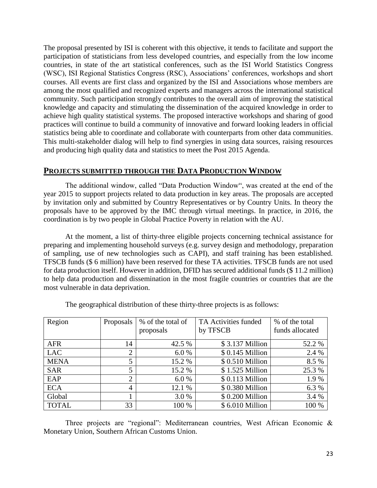The proposal presented by ISI is coherent with this objective, it tends to facilitate and support the participation of statisticians from less developed countries, and especially from the low income countries, in state of the art statistical conferences, such as the ISI World Statistics Congress (WSC), ISI Regional Statistics Congress (RSC), Associations' conferences, workshops and short courses. All events are first class and organized by the ISI and Associations whose members are among the most qualified and recognized experts and managers across the international statistical community. Such participation strongly contributes to the overall aim of improving the statistical knowledge and capacity and stimulating the dissemination of the acquired knowledge in order to achieve high quality statistical systems. The proposed interactive workshops and sharing of good practices will continue to build a community of innovative and forward looking leaders in official statistics being able to coordinate and collaborate with counterparts from other data communities. This multi-stakeholder dialog will help to find synergies in using data sources, raising resources and producing high quality data and statistics to meet the Post 2015 Agenda.

## **PROJECTS SUBMITTED THROUGH THE DATA PRODUCTION WINDOW**

The additional window, called "Data Production Window", was created at the end of the year 2015 to support projects related to data production in key areas. The proposals are accepted by invitation only and submitted by Country Representatives or by Country Units. In theory the proposals have to be approved by the IMC through virtual meetings. In practice, in 2016, the coordination is by two people in Global Practice Poverty in relation with the AU.

At the moment, a list of thirty-three eligible projects concerning technical assistance for preparing and implementing household surveys (e.g. survey design and methodology, preparation of sampling, use of new technologies such as CAPI), and staff training has been established. TFSCB funds (\$ 6 million) have been reserved for these TA activities. TFSCB funds are not used for data production itself. However in addition, DFID has secured additional funds (\$ 11.2 million) to help data production and dissemination in the most fragile countries or countries that are the most vulnerable in data deprivation.

| Region       | Proposals      | % of the total of<br>proposals | TA Activities funded<br>by TFSCB | % of the total<br>funds allocated |
|--------------|----------------|--------------------------------|----------------------------------|-----------------------------------|
|              |                |                                |                                  |                                   |
| <b>AFR</b>   | 14             | 42.5 %                         | \$3.137 Million                  | 52.2 %                            |
| <b>LAC</b>   | $\overline{2}$ | 6.0%                           | \$0.145 Million                  | 2.4 %                             |
| <b>MENA</b>  | 5              | 15.2 %                         | \$0.510 Million                  | 8.5 %                             |
| <b>SAR</b>   | 5              | 15.2 %                         | \$1.525 Million                  | 25.3 %                            |
| EAP          | $\overline{2}$ | 6.0%                           | \$0.113 Million                  | 1.9%                              |
| <b>ECA</b>   | 4              | 12.1 %                         | \$0.380 Million                  | 6.3 %                             |
| Global       |                | 3.0%                           | \$0.200 Million                  | 3.4 %                             |
| <b>TOTAL</b> | 33             | 100 %                          | \$6.010 Million                  | 100 %                             |

The geographical distribution of these thirty-three projects is as follows:

Three projects are "regional": Mediterranean countries, West African Economic & Monetary Union, Southern African Customs Union.